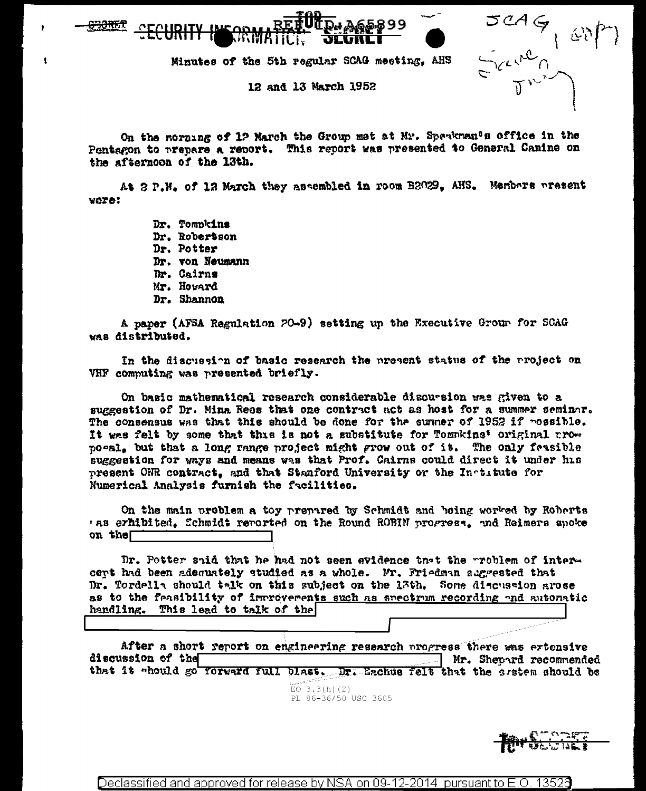Minutes of the 5th regular SCAG meeting. AHS

12 and 13 March 1952

On the norming of 12 March the Group met at Mr. Speakman<sup>0</sup>s office in the Pentagon to prepare a report. This report was presented to General Canine on the afternoon of the 13th.

At 2 P.M. of 12 March they assembled in room B2029. AHS. Members present vore:

> Dr. Tompkins Dr. Robertson Dr. Potter Dr. von Neumann Dr. Cairns Mr. Howard Dr. Shannon

A paper (AFSA Regulation 20-9) setting up the Executive Group for SCAG was distributed.

In the discussion of basic research the present status of the project on VHF computing was presented briefly.

On basic mathematical research considerable discursion was given to a suggestion of Dr. Mina Rees that one contract act as host for a summer seminar. The consensus was that this should be done for the sunner of 1952 if possible. It was felt by some that this is not a substitute for Tommkins' original grow pogal, but that a long range project might grow out of it. The only feasible suggestion for ways and means was that Prof. Cairns could direct it under his present ONR contract, and that Stanford University or the Institute for Numerical Analysis furnish the facilities.

On the main problem a toy prepared by Schmidt and being worked by Roberts 'as erhibited, Schmidt reported on the Round ROBIN progress, and Reimers spoke on the

Dr. Potter shid that he had not seen evidence that the problem of intercent had been adoauately studied as a whole. Mr. Friedman augrested that Dr. Tordella should talk on this subject on the 13th. Some diacusaton arose as to the feasibility of introverents such as stectrum recording and automatic handling. This lead to talk of the

After a short report on engineering research progress there was extensive discussion of the Mr. Shepard recommended that it ahould go Torward full blast. Dr. Eachus felt that the system should be

> EO  $3.3(h)(2)$ PL 86-36/50 USC 3605

Declassified and approved for release by NSA on 09-12-2014 pursuant to E.O. 13526